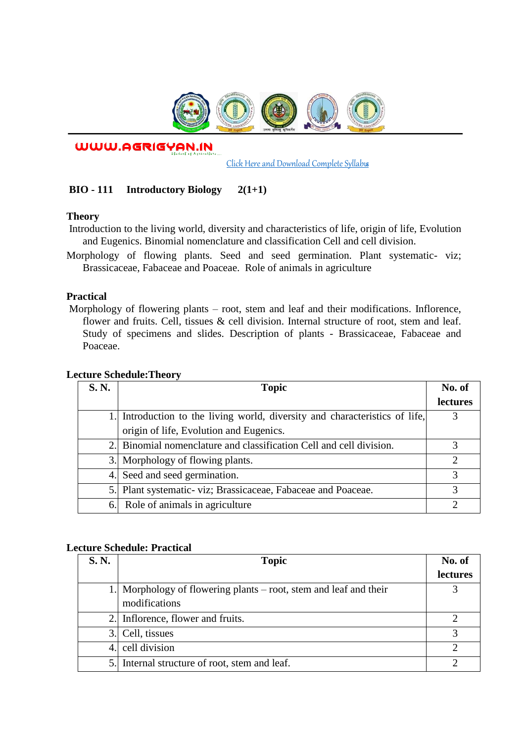

WWW.AGRIGYAN.IN

[Click Here and Download Complete Syllabus](http://agrigyan.in/)

# **BIO - 111 Introductory Biology 2(1+1)**

### **Theory**

 $\overline{a}$ 

- Introduction to the living world, diversity and characteristics of life, origin of life, Evolution and Eugenics. Binomial nomenclature and classification Cell and cell division.
- Morphology of flowing plants. Seed and seed germination. Plant systematic- viz; Brassicaceae, Fabaceae and Poaceae. Role of animals in agriculture

## **Practical**

Morphology of flowering plants – root, stem and leaf and their modifications. Inflorence, flower and fruits. Cell, tissues & cell division. Internal structure of root, stem and leaf. Study of specimens and slides. Description of plants - Brassicaceae, Fabaceae and Poaceae.

| S. N. | <b>Topic</b>                                                                | No. of          |
|-------|-----------------------------------------------------------------------------|-----------------|
|       |                                                                             | <b>lectures</b> |
|       | 1. Introduction to the living world, diversity and characteristics of life, |                 |
|       | origin of life, Evolution and Eugenics.                                     |                 |
|       | 2. Binomial nomenclature and classification Cell and cell division.         |                 |
|       | 3. Morphology of flowing plants.                                            | 7               |
|       | 4. Seed and seed germination.                                               |                 |
|       | 5. Plant systematic-viz; Brassicaceae, Fabaceae and Poaceae.                |                 |
| 6.    | Role of animals in agriculture                                              |                 |

### **Lecture Schedule:Theory**

## **Lecture Schedule: Practical**

| <b>S. N.</b> | <b>Topic</b>                                                     | No. of          |
|--------------|------------------------------------------------------------------|-----------------|
|              |                                                                  | <b>lectures</b> |
|              | Morphology of flowering plants $-$ root, stem and leaf and their |                 |
|              | modifications                                                    |                 |
| 2.1          | Inflorence, flower and fruits.                                   |                 |
| 3.I          | Cell, tissues                                                    |                 |
| 4.           | cell division                                                    | ാ               |
|              | 5. Internal structure of root, stem and leaf.                    |                 |